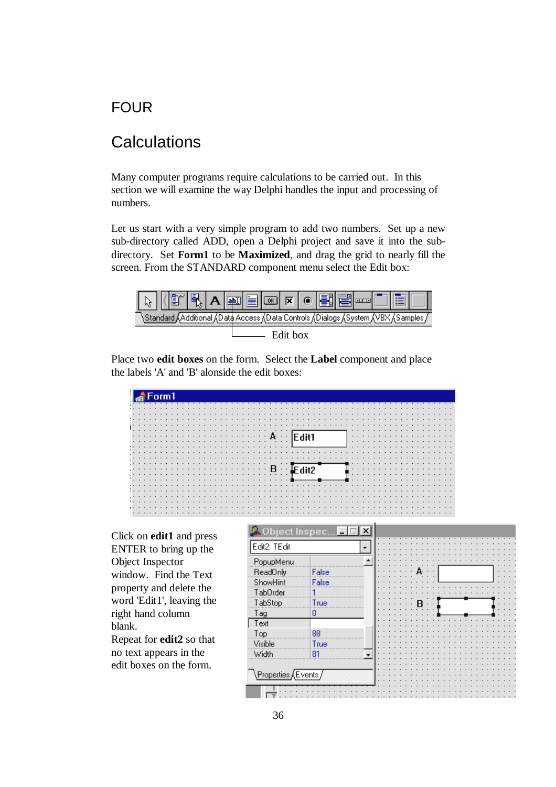# FOUR

# **Calculations**

Many computer programs require calculations to be carried out. In this section we will examine the way Delphi handles the input and processing of numbers.

Let us start with a very simple program to add two numbers. Set up a new sub-directory called ADD, open a Delphi project and save it into the subdirectory. Set **Form1** to be **Maximized**, and drag the grid to nearly fill the screen. From the STANDARD component menu select the Edit box:



Place two **edit boxes** on the form. Select the **Label** component and place the labels 'A' and 'B' alonside the edit boxes:

|     |                 |         |                         |  |   |   |   |  |  |   |  |  |  |  |  |  |                 |                         |  |   |  |  |  |                 |  |   |   |  |  |  |   | . |
|-----|-----------------|---------|-------------------------|--|---|---|---|--|--|---|--|--|--|--|--|--|-----------------|-------------------------|--|---|--|--|--|-----------------|--|---|---|--|--|--|---|---|
|     |                 |         |                         |  |   |   |   |  |  |   |  |  |  |  |  |  |                 |                         |  |   |  |  |  |                 |  |   |   |  |  |  |   |   |
|     |                 | $\cdot$ |                         |  |   |   | . |  |  |   |  |  |  |  |  |  |                 |                         |  |   |  |  |  |                 |  |   |   |  |  |  | . |   |
|     |                 |         |                         |  |   |   |   |  |  | . |  |  |  |  |  |  |                 |                         |  | . |  |  |  |                 |  |   | . |  |  |  |   |   |
|     |                 |         |                         |  |   | . |   |  |  |   |  |  |  |  |  |  |                 |                         |  |   |  |  |  |                 |  |   |   |  |  |  | . |   |
|     | $\cdot$ $\cdot$ |         |                         |  |   |   | . |  |  |   |  |  |  |  |  |  |                 |                         |  |   |  |  |  |                 |  |   | . |  |  |  |   |   |
|     |                 |         |                         |  |   |   |   |  |  |   |  |  |  |  |  |  |                 |                         |  |   |  |  |  |                 |  |   |   |  |  |  |   |   |
|     |                 |         |                         |  |   | . |   |  |  |   |  |  |  |  |  |  | $\cdot$ $\cdot$ |                         |  |   |  |  |  | $\cdot$ $\cdot$ |  |   |   |  |  |  | . |   |
|     |                 |         |                         |  | . |   |   |  |  |   |  |  |  |  |  |  |                 |                         |  |   |  |  |  |                 |  |   |   |  |  |  | . |   |
|     |                 |         |                         |  |   |   |   |  |  | . |  |  |  |  |  |  |                 |                         |  |   |  |  |  |                 |  |   | . |  |  |  |   |   |
|     |                 |         |                         |  |   |   |   |  |  |   |  |  |  |  |  |  |                 |                         |  | . |  |  |  |                 |  |   |   |  |  |  | . |   |
|     |                 |         |                         |  |   |   |   |  |  |   |  |  |  |  |  |  |                 | $\cdot$ $\cdot$ $\cdot$ |  |   |  |  |  |                 |  | . | . |  |  |  |   |   |
|     |                 |         |                         |  |   |   |   |  |  |   |  |  |  |  |  |  |                 |                         |  |   |  |  |  | $\cdots$        |  |   |   |  |  |  | . |   |
|     |                 |         |                         |  |   |   |   |  |  |   |  |  |  |  |  |  |                 |                         |  |   |  |  |  |                 |  |   |   |  |  |  | . |   |
|     |                 |         |                         |  |   |   | . |  |  |   |  |  |  |  |  |  |                 |                         |  |   |  |  |  |                 |  |   |   |  |  |  |   |   |
|     |                 |         |                         |  |   |   |   |  |  |   |  |  |  |  |  |  |                 |                         |  |   |  |  |  |                 |  |   | . |  |  |  |   |   |
|     |                 |         |                         |  |   |   |   |  |  |   |  |  |  |  |  |  |                 |                         |  |   |  |  |  |                 |  |   |   |  |  |  | . |   |
| . . |                 |         |                         |  |   |   | . |  |  |   |  |  |  |  |  |  |                 |                         |  |   |  |  |  |                 |  |   |   |  |  |  |   | . |
|     |                 |         |                         |  |   |   |   |  |  |   |  |  |  |  |  |  |                 |                         |  | . |  |  |  |                 |  |   |   |  |  |  | . |   |
|     |                 |         |                         |  |   |   |   |  |  |   |  |  |  |  |  |  |                 |                         |  |   |  |  |  |                 |  |   |   |  |  |  |   | . |
|     |                 |         |                         |  |   |   |   |  |  |   |  |  |  |  |  |  |                 |                         |  |   |  |  |  |                 |  |   |   |  |  |  | . |   |
|     |                 |         | $\cdot$ $\cdot$ $\cdot$ |  |   |   |   |  |  |   |  |  |  |  |  |  |                 |                         |  |   |  |  |  |                 |  |   |   |  |  |  |   |   |

Click on **edit1** and press ENTER to bring up the Object Inspector window. Find the Text property and delete the word 'Edit1', leaving the right hand column blank.

Repeat for **edit2** so that no text appears in the edit boxes on the form.

| Edit2: TEdit                          |       |  |  |  |  |  |  |  |  |
|---------------------------------------|-------|--|--|--|--|--|--|--|--|
| PopupMenu                             |       |  |  |  |  |  |  |  |  |
| ReadOnly                              | False |  |  |  |  |  |  |  |  |
| ShowHint                              | False |  |  |  |  |  |  |  |  |
| TabOrder                              |       |  |  |  |  |  |  |  |  |
| TabStop                               | True  |  |  |  |  |  |  |  |  |
| Tag                                   | Ū     |  |  |  |  |  |  |  |  |
| Text                                  |       |  |  |  |  |  |  |  |  |
| Top                                   | 88    |  |  |  |  |  |  |  |  |
| Visible                               | True  |  |  |  |  |  |  |  |  |
| Width                                 | 81    |  |  |  |  |  |  |  |  |
|                                       |       |  |  |  |  |  |  |  |  |
| Properties $\sqrt{\mathsf{Events}}_I$ |       |  |  |  |  |  |  |  |  |
|                                       |       |  |  |  |  |  |  |  |  |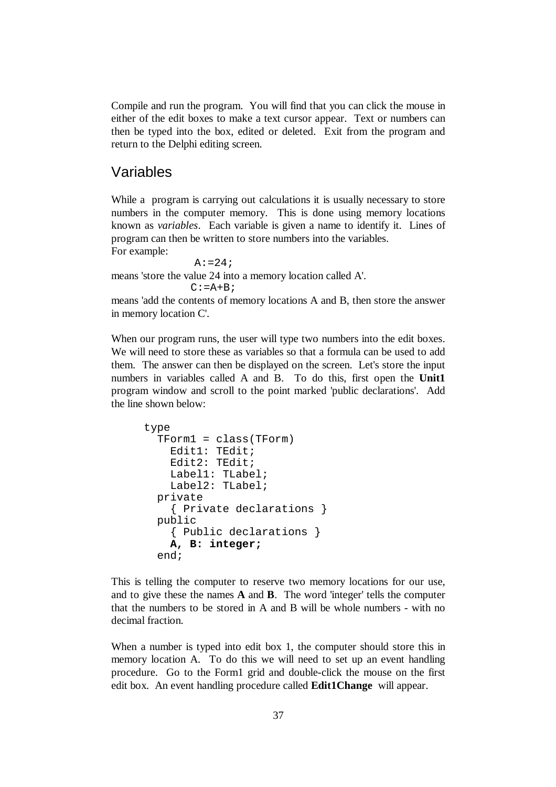Compile and run the program. You will find that you can click the mouse in either of the edit boxes to make a text cursor appear. Text or numbers can then be typed into the box, edited or deleted. Exit from the program and return to the Delphi editing screen.

## Variables

While a program is carrying out calculations it is usually necessary to store numbers in the computer memory. This is done using memory locations known as *variables*. Each variable is given a name to identify it. Lines of program can then be written to store numbers into the variables. For example:

 $A: = 24;$ means 'store the value 24 into a memory location called A'.  $C:=A+B;$ 

means 'add the contents of memory locations A and B, then store the answer in memory location C'.

When our program runs, the user will type two numbers into the edit boxes. We will need to store these as variables so that a formula can be used to add them. The answer can then be displayed on the screen. Let's store the input numbers in variables called A and B. To do this, first open the **Unit1** program window and scroll to the point marked 'public declarations'. Add the line shown below:

```
type 
   TForm1 = class(TForm) 
     Edit1: TEdit; 
     Edit2: TEdit; 
     Label1: TLabel; 
     Label2: TLabel; 
   private 
     { Private declarations } 
   public 
     { Public declarations } 
     A, B: integer; 
   end;
```
This is telling the computer to reserve two memory locations for our use, and to give these the names **A** and **B**. The word 'integer' tells the computer that the numbers to be stored in A and B will be whole numbers - with no decimal fraction.

When a number is typed into edit box 1, the computer should store this in memory location A. To do this we will need to set up an event handling procedure. Go to the Form1 grid and double-click the mouse on the first edit box. An event handling procedure called **Edit1Change** will appear.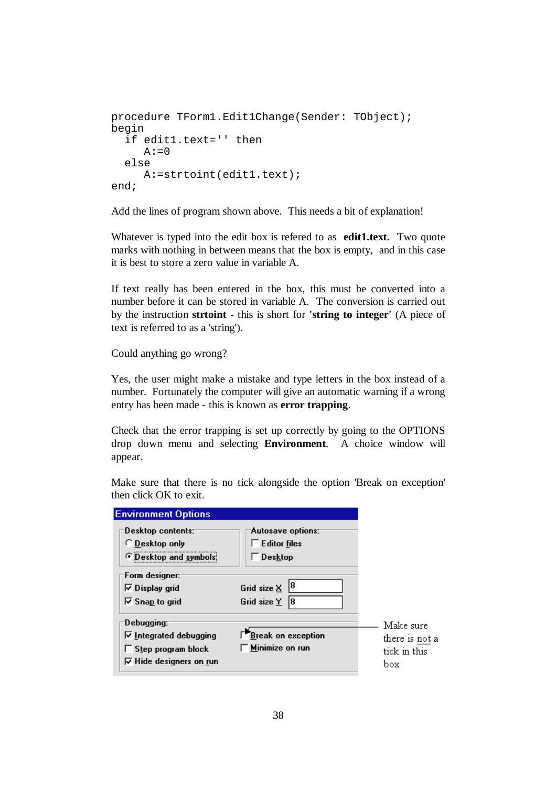```
procedure TForm1.Edit1Change(Sender: TObject); 
begin 
   if edit1.text='' then 
     A:0 else 
      A:=strtoint(edit1.text); 
end;
```
Add the lines of program shown above. This needs a bit of explanation!

Whatever is typed into the edit box is refered to as **edit1.text.** Two quote marks with nothing in between means that the box is empty, and in this case it is best to store a zero value in variable A.

If text really has been entered in the box, this must be converted into a number before it can be stored in variable A. The conversion is carried out by the instruction **strtoint -** this is short for **'string to integer'** (A piece of text is referred to as a 'string').

Could anything go wrong?

Yes, the user might make a mistake and type letters in the box instead of a number. Fortunately the computer will give an automatic warning if a wrong entry has been made - this is known as **error trapping**.

Check that the error trapping is set up correctly by going to the OPTIONS drop down menu and selecting **Environment**. A choice window will appear.

Make sure that there is no tick alongside the option 'Break on exception' then click OK to exit.

| <b>Environment Op<u>tions</u></b>                                                                          |                                                                |                                                    |
|------------------------------------------------------------------------------------------------------------|----------------------------------------------------------------|----------------------------------------------------|
| Desktop contents:<br>C Desktop only<br>@ Desktop and symbols                                               | Autosave options:<br>$\Gamma$ Editor files<br>$\Gamma$ Desktop |                                                    |
| Form designer:<br>$\nabla$ Display grid<br>$\nabla$ Snap to grid                                           | Grid size $\times$ $ 8$<br>Grid size $Y$ 8                     |                                                    |
| Debugging:<br>$\triangledown$ Integrated debugging<br>Step program block<br>$\nabla$ Hide designers on run | Break on exception<br>Minimize on run                          | Make sure<br>there is not a<br>tick in this<br>box |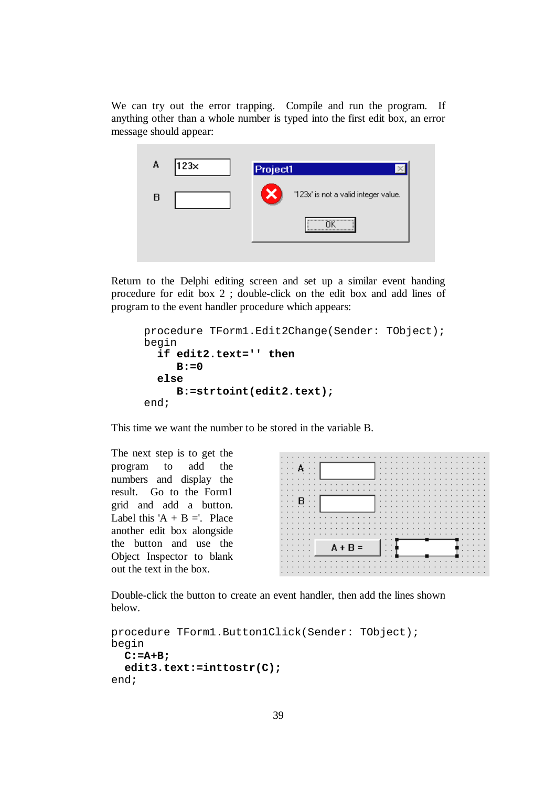We can try out the error trapping. Compile and run the program. If anything other than a whole number is typed into the first edit box, an error message should appear:



Return to the Delphi editing screen and set up a similar event handing procedure for edit box 2 ; double-click on the edit box and add lines of program to the event handler procedure which appears:

```
procedure TForm1.Edit2Change(Sender: TObject); 
begin 
   if edit2.text='' then 
      B:=0 
   else 
      B:=strtoint(edit2.text); 
end;
```
This time we want the number to be stored in the variable B.

The next step is to get the program to add the numbers and display the result. Go to the Form1 grid and add a button. Label this 'A + B ='. Place another edit box alongside the button and use the Object Inspector to blank out the text in the box.

|     |        |     |         |                          |  |  |           |  |  |  |  |   |  |  |  |  |        | - 11    | . .     | . .      | $\sim$                   | $\sim$ |   |  |
|-----|--------|-----|---------|--------------------------|--|--|-----------|--|--|--|--|---|--|--|--|--|--------|---------|---------|----------|--------------------------|--------|---|--|
|     |        |     |         |                          |  |  |           |  |  |  |  | . |  |  |  |  |        |         | .       |          | $\overline{\phantom{a}}$ |        |   |  |
|     |        |     |         |                          |  |  |           |  |  |  |  | . |  |  |  |  |        |         |         | .        |                          |        |   |  |
|     |        |     |         |                          |  |  |           |  |  |  |  |   |  |  |  |  | $\sim$ | ٠.      | . .     | $\cdots$ |                          | $\sim$ |   |  |
|     |        |     |         |                          |  |  |           |  |  |  |  |   |  |  |  |  |        |         |         |          |                          | .      |   |  |
|     |        |     |         |                          |  |  |           |  |  |  |  |   |  |  |  |  |        | $\cdot$ | $\cdot$ | $\cdot$  |                          |        |   |  |
|     |        |     |         |                          |  |  |           |  |  |  |  |   |  |  |  |  |        |         |         |          |                          | .      |   |  |
|     |        | - R |         |                          |  |  |           |  |  |  |  |   |  |  |  |  |        |         |         |          |                          |        |   |  |
|     |        |     |         |                          |  |  |           |  |  |  |  |   |  |  |  |  |        |         |         |          |                          |        |   |  |
|     | $\sim$ |     |         |                          |  |  |           |  |  |  |  |   |  |  |  |  |        |         |         |          |                          |        |   |  |
|     |        |     |         |                          |  |  |           |  |  |  |  |   |  |  |  |  |        |         |         |          |                          | .      |   |  |
| . . |        |     |         |                          |  |  |           |  |  |  |  |   |  |  |  |  |        |         |         |          |                          |        | . |  |
|     | .      |     |         |                          |  |  |           |  |  |  |  |   |  |  |  |  |        |         |         |          |                          |        |   |  |
|     | .      |     | $\cdot$ | $\overline{\phantom{a}}$ |  |  |           |  |  |  |  |   |  |  |  |  |        |         |         |          |                          |        |   |  |
|     |        |     |         |                          |  |  |           |  |  |  |  |   |  |  |  |  |        |         |         |          |                          |        |   |  |
|     |        |     |         |                          |  |  |           |  |  |  |  |   |  |  |  |  |        |         |         |          |                          |        |   |  |
|     |        |     |         |                          |  |  |           |  |  |  |  |   |  |  |  |  |        |         |         |          |                          |        |   |  |
|     |        |     |         |                          |  |  | $A + B =$ |  |  |  |  |   |  |  |  |  |        |         |         |          |                          |        |   |  |
|     |        |     |         |                          |  |  |           |  |  |  |  |   |  |  |  |  |        |         |         |          |                          |        |   |  |
|     |        |     |         |                          |  |  |           |  |  |  |  |   |  |  |  |  |        |         |         |          |                          |        |   |  |
|     |        |     |         |                          |  |  |           |  |  |  |  |   |  |  |  |  |        |         |         |          |                          |        |   |  |
|     |        |     |         |                          |  |  |           |  |  |  |  |   |  |  |  |  |        |         |         |          |                          |        |   |  |
|     |        |     |         |                          |  |  |           |  |  |  |  |   |  |  |  |  |        |         |         |          |                          |        |   |  |

Double-click the button to create an event handler, then add the lines shown below.

```
procedure TForm1.Button1Click(Sender: TObject); 
begin 
   C:=A+B; 
   edit3.text:=inttostr(C); 
end;
```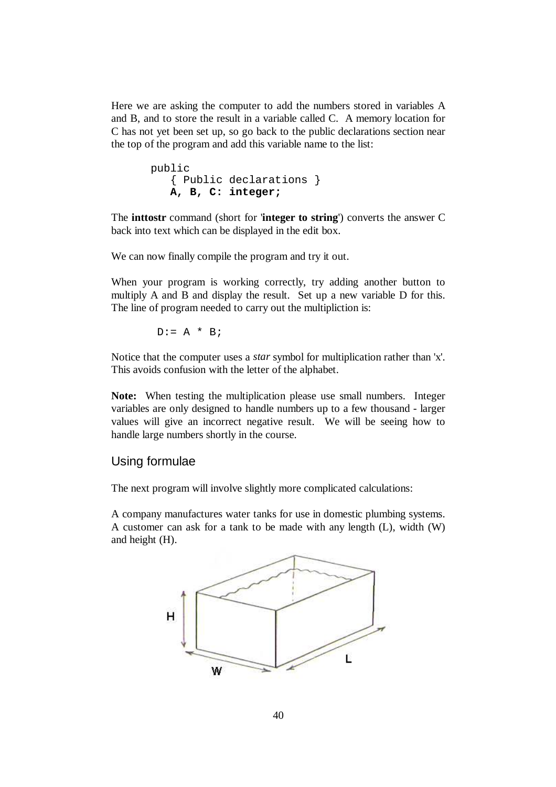Here we are asking the computer to add the numbers stored in variables A and B, and to store the result in a variable called C. A memory location for C has not yet been set up, so go back to the public declarations section near the top of the program and add this variable name to the list:

```
 public 
    { Public declarations } 
    A, B, C: integer;
```
The **inttostr** command (short for '**integer to string**') converts the answer C back into text which can be displayed in the edit box.

We can now finally compile the program and try it out.

When your program is working correctly, try adding another button to multiply A and B and display the result. Set up a new variable D for this. The line of program needed to carry out the multipliction is:

$$
D := A * B;
$$

Notice that the computer uses a *star* symbol for multiplication rather than 'x'. This avoids confusion with the letter of the alphabet.

**Note:** When testing the multiplication please use small numbers. Integer variables are only designed to handle numbers up to a few thousand - larger values will give an incorrect negative result. We will be seeing how to handle large numbers shortly in the course.

### Using formulae

The next program will involve slightly more complicated calculations:

A company manufactures water tanks for use in domestic plumbing systems. A customer can ask for a tank to be made with any length (L), width (W) and height (H).

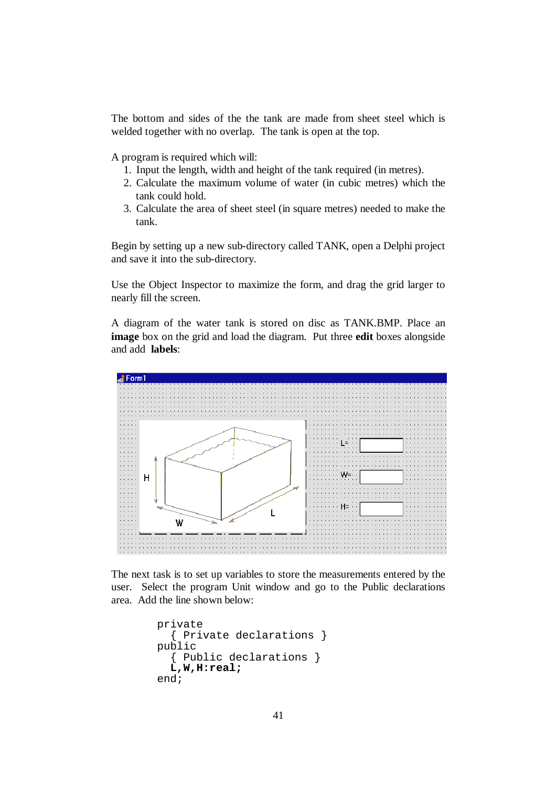The bottom and sides of the the tank are made from sheet steel which is welded together with no overlap. The tank is open at the top.

A program is required which will:

- 1. Input the length, width and height of the tank required (in metres).
- 2. Calculate the maximum volume of water (in cubic metres) which the tank could hold.
- 3. Calculate the area of sheet steel (in square metres) needed to make the tank.

Begin by setting up a new sub-directory called TANK, open a Delphi project and save it into the sub-directory.

Use the Object Inspector to maximize the form, and drag the grid larger to nearly fill the screen.

A diagram of the water tank is stored on disc as TANK.BMP. Place an **image** box on the grid and load the diagram. Put three **edit** boxes alongside and add **labels**:



The next task is to set up variables to store the measurements entered by the user. Select the program Unit window and go to the Public declarations area. Add the line shown below:

```
 private 
   { Private declarations } 
 public 
   { Public declarations } 
   L,W,H:real; 
 end;
```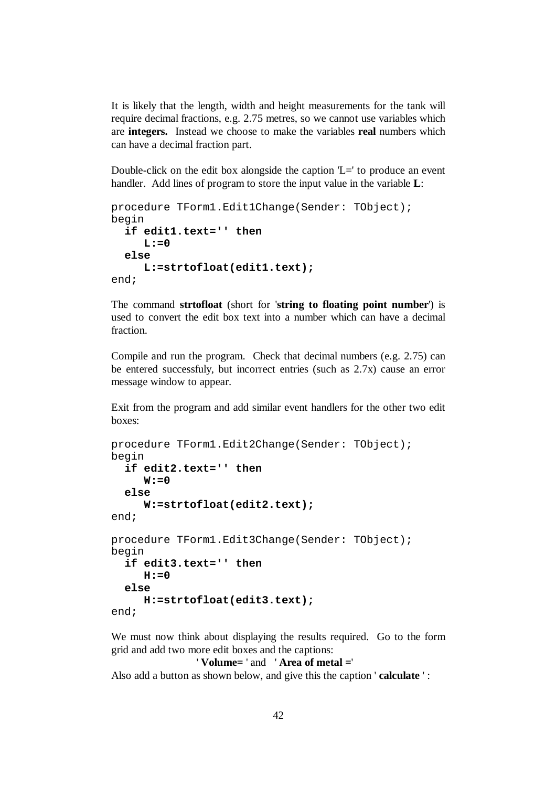It is likely that the length, width and height measurements for the tank will require decimal fractions, e.g. 2.75 metres, so we cannot use variables which are **integers.** Instead we choose to make the variables **real** numbers which can have a decimal fraction part.

Double-click on the edit box alongside the caption 'L=' to produce an event handler. Add lines of program to store the input value in the variable **L**:

```
procedure TForm1.Edit1Change(Sender: TObject); 
begin 
   if edit1.text='' then 
     L: = 0 else 
      L:=strtofloat(edit1.text); 
end;
```
The command **strtofloat** (short for '**string to floating point number**') is used to convert the edit box text into a number which can have a decimal fraction.

Compile and run the program. Check that decimal numbers (e.g. 2.75) can be entered successfuly, but incorrect entries (such as 2.7x) cause an error message window to appear.

Exit from the program and add similar event handlers for the other two edit boxes:

```
procedure TForm1.Edit2Change(Sender: TObject); 
begin 
   if edit2.text='' then 
     W: = 0 else 
      W:=strtofloat(edit2.text); 
end; 
procedure TForm1.Edit3Change(Sender: TObject); 
begin 
   if edit3.text='' then 
     H: = 0 else 
      H:=strtofloat(edit3.text); 
end;
```
We must now think about displaying the results required. Go to the form grid and add two more edit boxes and the captions:

```
 ' Volume= ' and ' Area of metal =' 
Also add a button as shown below, and give this the caption ' calculate ' :
```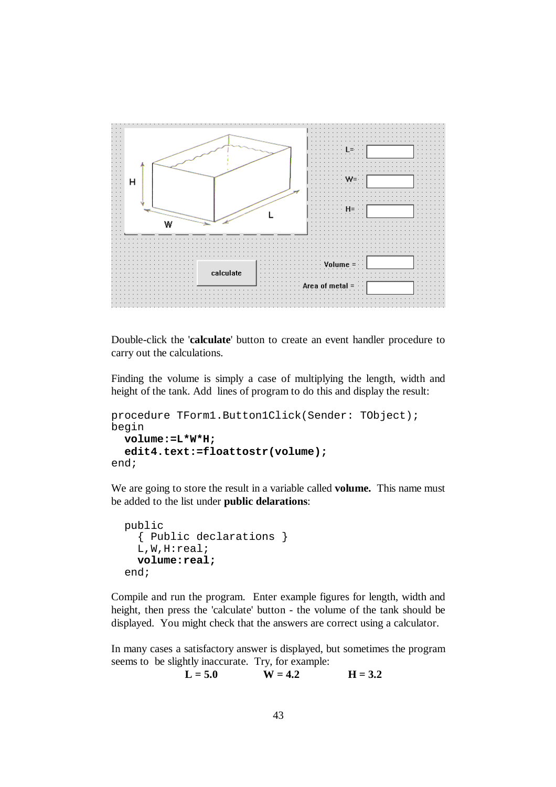

Double-click the '**calculate**' button to create an event handler procedure to carry out the calculations.

Finding the volume is simply a case of multiplying the length, width and height of the tank. Add lines of program to do this and display the result:

```
procedure TForm1.Button1Click(Sender: TObject); 
begin 
   volume:=L*W*H; 
   edit4.text:=floattostr(volume); 
end;
```
We are going to store the result in a variable called **volume.** This name must be added to the list under **public delarations**:

```
 public 
   { Public declarations } 
   L,W,H:real; 
   volume:real; 
 end;
```
Compile and run the program. Enter example figures for length, width and height, then press the 'calculate' button - the volume of the tank should be displayed. You might check that the answers are correct using a calculator.

In many cases a satisfactory answer is displayed, but sometimes the program seems to be slightly inaccurate. Try, for example:

 $L = 5.0$   $W = 4.2$   $H = 3.2$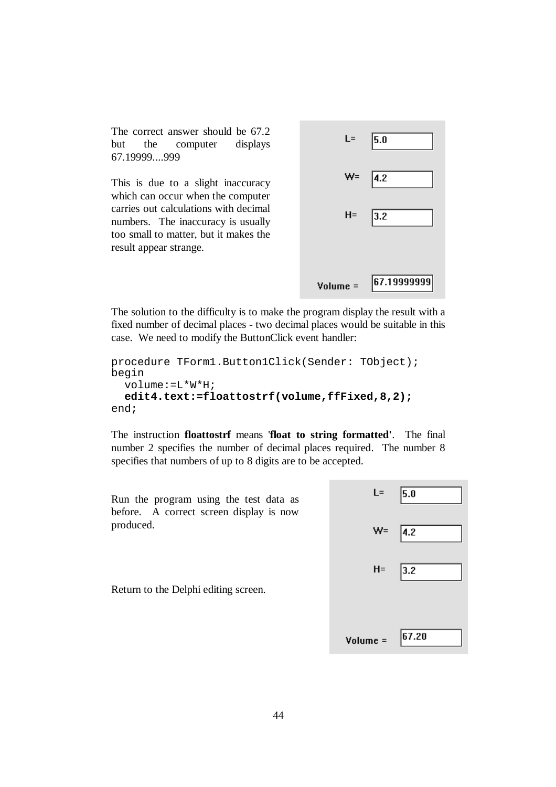The correct answer should be 67.2 but the computer displays 67.19999....999

This is due to a slight inaccuracy which can occur when the computer carries out calculations with decimal numbers. The inaccuracy is usually too small to matter, but it makes the result appear strange.



The solution to the difficulty is to make the program display the result with a fixed number of decimal places - two decimal places would be suitable in this case. We need to modify the ButtonClick event handler:

```
procedure TForm1.Button1Click(Sender: TObject); 
begin 
   volume:=L*W*H; 
   edit4.text:=floattostrf(volume,ffFixed,8,2); 
end;
```
The instruction **floattostrf** means '**float to string formatted'**. The final number 2 specifies the number of decimal places required. The number 8 specifies that numbers of up to 8 digits are to be accepted.

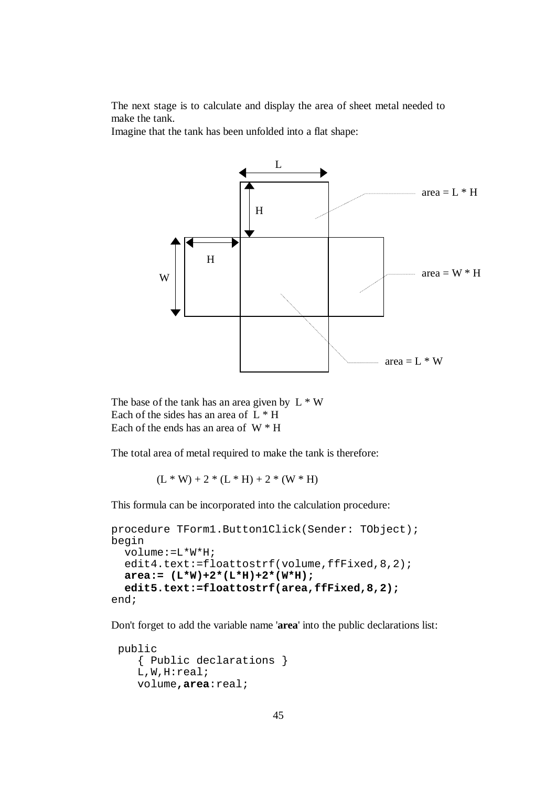The next stage is to calculate and display the area of sheet metal needed to make the tank.

Imagine that the tank has been unfolded into a flat shape:



The base of the tank has an area given by  $L \times W$ Each of the sides has an area of  $L * H$ Each of the ends has an area of  $W * H$ 

The total area of metal required to make the tank is therefore:

$$
(L*W) + 2*(L*H) + 2*(W*H)
$$

This formula can be incorporated into the calculation procedure:

```
procedure TForm1.Button1Click(Sender: TObject); 
begin 
   volume:=L*W*H; 
  edit4.text:=floattostrf(volume,ffFixed, 8, 2);
   area:= (L*W)+2*(L*H)+2*(W*H); 
   edit5.text:=floattostrf(area,ffFixed,8,2); 
end;
```
Don't forget to add the variable name '**area**' into the public declarations list:

```
 public 
    { Public declarations } 
    L,W,H:real; 
    volume,area:real;
```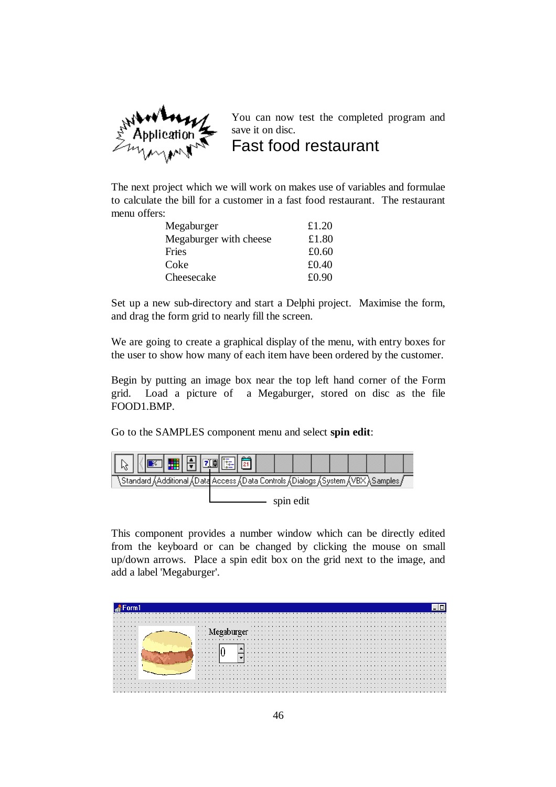

You can now test the completed program and save it on disc. Fast food restaurant

The next project which we will work on makes use of variables and formulae to calculate the bill for a customer in a fast food restaurant. The restaurant menu offers:

| Megaburger             | £1.20    |
|------------------------|----------|
| Megaburger with cheese | £1.80    |
| Fries                  | £ $0.60$ |
| Coke                   | £0.40    |
| Cheesecake             | £0.90    |

Set up a new sub-directory and start a Delphi project. Maximise the form, and drag the form grid to nearly fill the screen.

We are going to create a graphical display of the menu, with entry boxes for the user to show how many of each item have been ordered by the customer.

Begin by putting an image box near the top left hand corner of the Form grid. Load a picture of a Megaburger, stored on disc as the file FOOD1.BMP.

Go to the SAMPLES component menu and select **spin edit**:



This component provides a number window which can be directly edited from the keyboard or can be changed by clicking the mouse on small up/down arrows. Place a spin edit box on the grid next to the image, and add a label 'Megaburger'.

| .      | 1.1.1    |  |  |  |  |  |  |  |  |  |  |
|--------|----------|--|--|--|--|--|--|--|--|--|--|
| .      | $\cdots$ |  |  |  |  |  |  |  |  |  |  |
| .      | 1.1.1    |  |  |  |  |  |  |  |  |  |  |
| .      |          |  |  |  |  |  |  |  |  |  |  |
| .      | .        |  |  |  |  |  |  |  |  |  |  |
| .      | .        |  |  |  |  |  |  |  |  |  |  |
| .<br>. | .<br>.   |  |  |  |  |  |  |  |  |  |  |
| .      | .        |  |  |  |  |  |  |  |  |  |  |
| .      |          |  |  |  |  |  |  |  |  |  |  |
| .      |          |  |  |  |  |  |  |  |  |  |  |
| .      |          |  |  |  |  |  |  |  |  |  |  |
| .      |          |  |  |  |  |  |  |  |  |  |  |
|        |          |  |  |  |  |  |  |  |  |  |  |
|        |          |  |  |  |  |  |  |  |  |  |  |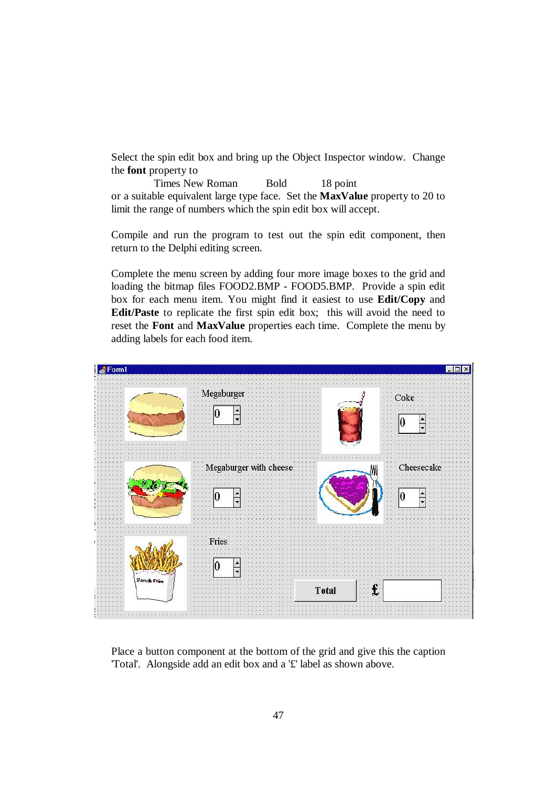Select the spin edit box and bring up the Object Inspector window. Change the **font** property to

Times New Roman Bold 18 point or a suitable equivalent large type face. Set the **MaxValue** property to 20 to limit the range of numbers which the spin edit box will accept.

Compile and run the program to test out the spin edit component, then return to the Delphi editing screen.

Complete the menu screen by adding four more image boxes to the grid and loading the bitmap files FOOD2.BMP - FOOD5.BMP. Provide a spin edit box for each menu item. You might find it easiest to use **Edit/Copy** and **Edit/Paste** to replicate the first spin edit box; this will avoid the need to reset the **Font** and **MaxValue** properties each time. Complete the menu by adding labels for each food item.



Place a button component at the bottom of the grid and give this the caption 'Total'. Alongside add an edit box and a '£' label as shown above.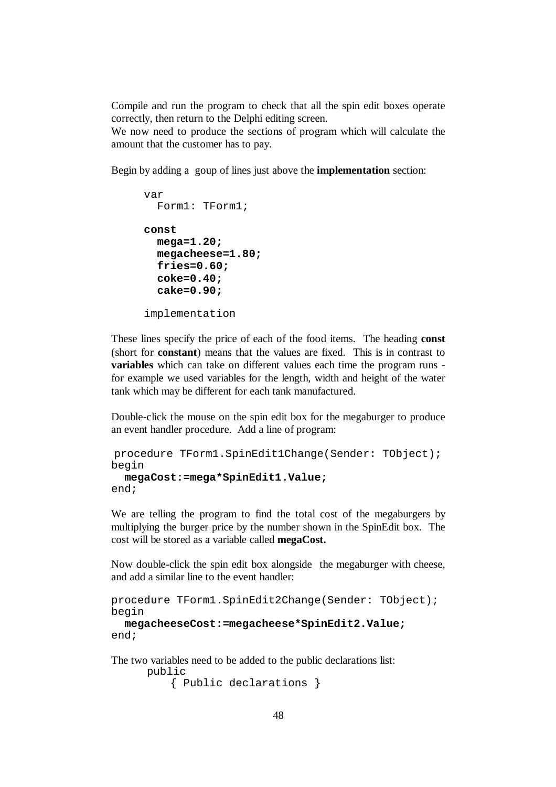Compile and run the program to check that all the spin edit boxes operate correctly, then return to the Delphi editing screen.

We now need to produce the sections of program which will calculate the amount that the customer has to pay.

Begin by adding a goup of lines just above the **implementation** section:

```
var 
   Form1: TForm1; 
const 
   mega=1.20; 
   megacheese=1.80; 
   fries=0.60; 
   coke=0.40; 
   cake=0.90; 
implementation
```
These lines specify the price of each of the food items. The heading **const**  (short for **constant**) means that the values are fixed. This is in contrast to **variables** which can take on different values each time the program runs for example we used variables for the length, width and height of the water tank which may be different for each tank manufactured.

Double-click the mouse on the spin edit box for the megaburger to produce an event handler procedure. Add a line of program:

```
procedure TForm1.SpinEdit1Change(Sender: TObject); 
begin 
   megaCost:=mega*SpinEdit1.Value;
```

```
end;
```
We are telling the program to find the total cost of the megaburgers by multiplying the burger price by the number shown in the SpinEdit box. The cost will be stored as a variable called **megaCost.**

Now double-click the spin edit box alongside the megaburger with cheese, and add a similar line to the event handler:

```
procedure TForm1.SpinEdit2Change(Sender: TObject); 
begin
```

```
 megacheeseCost:=megacheese*SpinEdit2.Value;
end;
```
The two variables need to be added to the public declarations list:

```
public 
     { Public declarations }
```